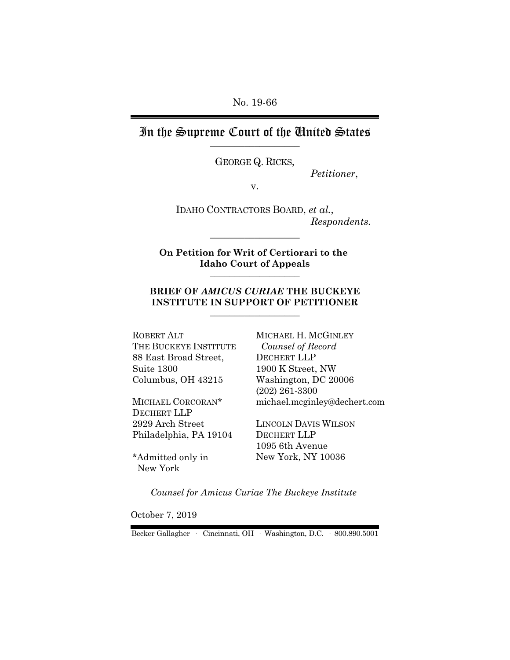No. 19-66

# In the Supreme Court of the United States

GEORGE Q. RICKS,

*Petitioner*,

v.

IDAHO CONTRACTORS BOARD, *et al.*, *Respondents.*

**On Petition for Writ of Certiorari to the Idaho Court of Appeals** \_\_\_\_\_\_\_\_\_\_\_\_\_\_\_\_\_\_

 $\_$ 

#### **BRIEF OF** *AMICUS CURIAE* **THE BUCKEYE INSTITUTE IN SUPPORT OF PETITIONER**  $\_$

ROBERT ALT THE BUCKEYE INSTITUTE 88 East Broad Street, Suite 1300 Columbus, OH 43215

MICHAEL CORCORAN\* DECHERT LLP 2929 Arch Street Philadelphia, PA 19104

\*Admitted only in New York

MICHAEL H. MCGINLEY  *Counsel of Record* DECHERT LLP 1900 K Street, NW Washington, DC 20006 (202) 261-3300 michael.mcginley@dechert.com

LINCOLN DAVIS WILSON DECHERT LLP 1095 6th Avenue New York, NY 10036

*Counsel for Amicus Curiae The Buckeye Institute*

October 7, 2019

Becker Gallagher · Cincinnati, OH · Washington, D.C. · 800.890.5001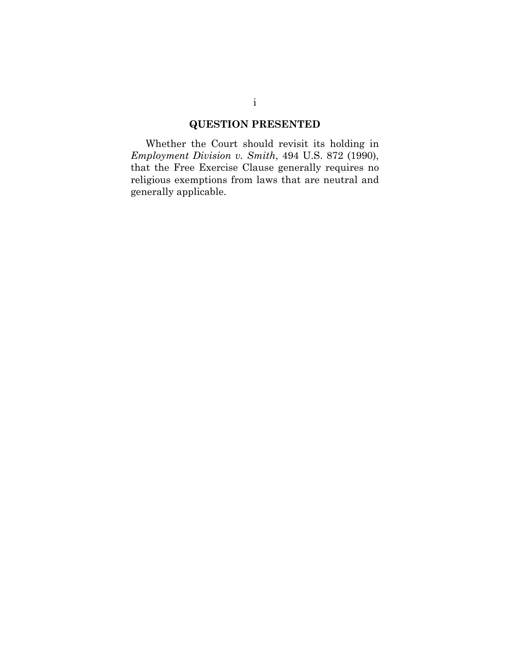## **QUESTION PRESENTED**

Whether the Court should revisit its holding in *Employment Division v. Smith*, 494 U.S. 872 (1990), that the Free Exercise Clause generally requires no religious exemptions from laws that are neutral and generally applicable.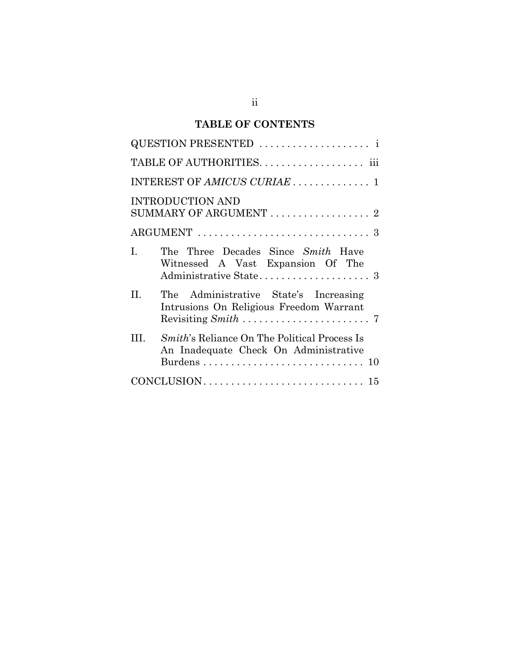# **TABLE OF CONTENTS**

| QUESTION PRESENTED                                                                                  |
|-----------------------------------------------------------------------------------------------------|
|                                                                                                     |
|                                                                                                     |
| <b>INTRODUCTION AND</b><br>SUMMARY OF ARGUMENT  2                                                   |
|                                                                                                     |
| I.<br>The Three Decades Since Smith Have<br>Witnessed A Vast Expansion Of The                       |
| II.<br>The Administrative State's Increasing<br>Intrusions On Religious Freedom Warrant             |
| HI.<br><i>Smith's</i> Reliance On The Political Process Is<br>An Inadequate Check On Administrative |
|                                                                                                     |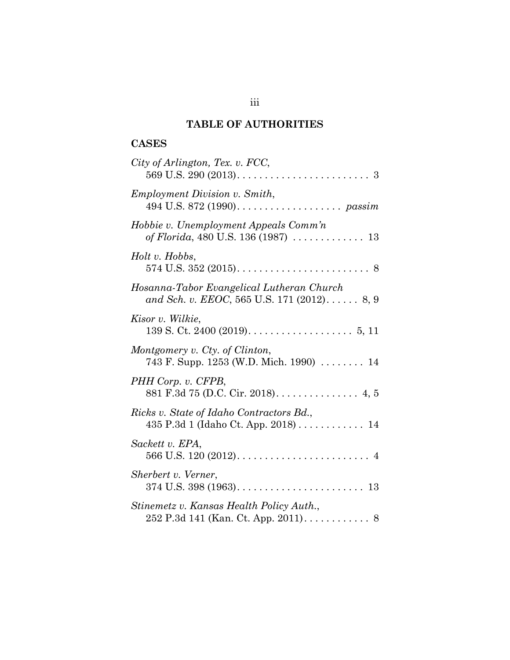## **TABLE OF AUTHORITIES**

### **CASES**

| City of Arlington, Tex. v. FCC,                                                         |
|-----------------------------------------------------------------------------------------|
| <b>Employment Division v. Smith,</b>                                                    |
| Hobbie v. Unemployment Appeals Comm'n<br>of Florida, 480 U.S. 136 (1987)  13            |
| Holt v. Hobbs,                                                                          |
| Hosanna-Tabor Evangelical Lutheran Church<br>and Sch. v. EEOC, 565 U.S. 171 (2012) 8, 9 |
| Kisor v. Wilkie,                                                                        |
| Montgomery v. Cty. of Clinton,<br>743 F. Supp. 1253 (W.D. Mich. 1990)  14               |
| PHH Corp. v. CFPB,<br>881 F.3d 75 (D.C. Cir. 2018). 4, 5                                |
| Ricks v. State of Idaho Contractors Bd.,<br>435 P.3d 1 (Idaho Ct. App. 2018) 14         |
| Sackett v. EPA,                                                                         |
| Sherbert v. Verner,                                                                     |
| Stinemetz v. Kansas Health Policy Auth.,<br>252 P.3d 141 (Kan. Ct. App. 2011) 8         |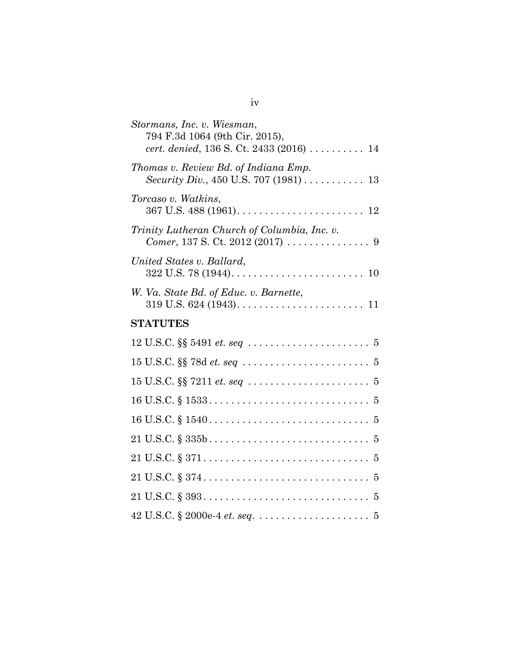| Stormans, Inc. v. Wiesman,<br>794 F.3d 1064 (9th Cir. 2015),<br>cert. denied, 136 S. Ct. 2433 (2016)  14 |
|----------------------------------------------------------------------------------------------------------|
| Thomas v. Review Bd. of Indiana Emp.<br>Security Div., 450 U.S. 707 (1981)  13                           |
| Torcaso v. Watkins,                                                                                      |
| Trinity Lutheran Church of Columbia, Inc. v.                                                             |
| United States v. Ballard,                                                                                |
| W. Va. State Bd. of Educ. v. Barnette,                                                                   |
| <b>STATUTES</b>                                                                                          |
|                                                                                                          |
|                                                                                                          |
|                                                                                                          |
|                                                                                                          |
|                                                                                                          |
|                                                                                                          |
|                                                                                                          |
|                                                                                                          |
|                                                                                                          |
|                                                                                                          |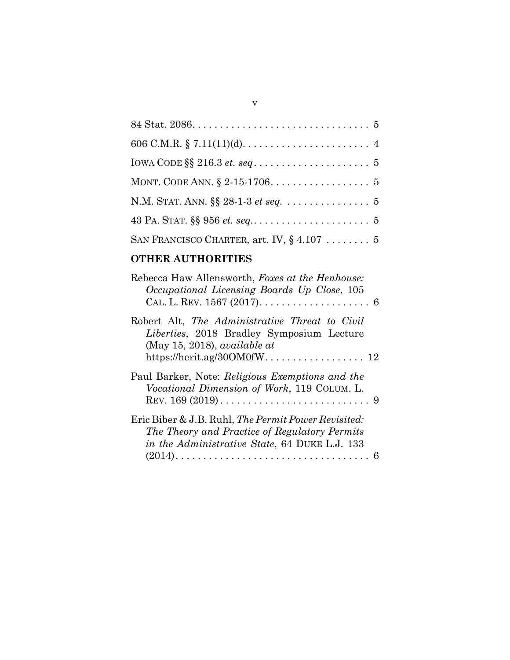| N.M. STAT. ANN. §§ 28-1-3 et seq. 5           |
|-----------------------------------------------|
|                                               |
| SAN FRANCISCO CHARTER, art. IV, $\S$ 4.107  5 |

# **OTHER AUTHORITIES**

| Rebecca Haw Allensworth, Foxes at the Henhouse:<br>Occupational Licensing Boards Up Close, 105<br>CAL. L. REV. 1567 (2017). $\dots \dots \dots \dots \dots \dots \dots$ 6 |
|---------------------------------------------------------------------------------------------------------------------------------------------------------------------------|
| Robert Alt, The Administrative Threat to Civil<br>Liberties, 2018 Bradley Symposium Lecture<br>(May 15, 2018), <i>available at</i>                                        |
| Paul Barker, Note: Religious Exemptions and the<br>Vocational Dimension of Work, 119 COLUM. L.                                                                            |
| Eric Biber & J.B. Ruhl, The Permit Power Revisited:<br>The Theory and Practice of Regulatory Permits<br>in the Administrative State, 64 DUKE L.J. 133                     |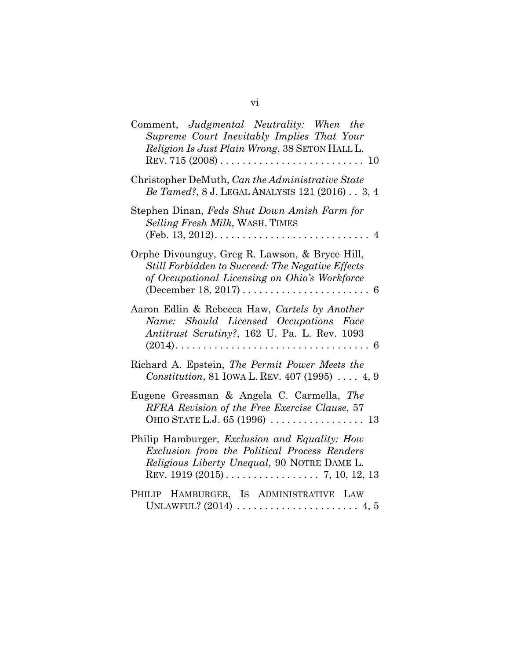| Comment, Judgmental Neutrality: When the<br>Supreme Court Inevitably Implies That Your<br>Religion Is Just Plain Wrong, 38 SETON HALL L.            |
|-----------------------------------------------------------------------------------------------------------------------------------------------------|
| Christopher DeMuth, Can the Administrative State<br>Be Tamed?, 8 J. LEGAL ANALYSIS 121 (2016) 3, 4                                                  |
| Stephen Dinan, Feds Shut Down Amish Farm for<br>Selling Fresh Milk, WASH. TIMES                                                                     |
| Orphe Divounguy, Greg R. Lawson, & Bryce Hill,<br>Still Forbidden to Succeed: The Negative Effects<br>of Occupational Licensing on Ohio's Workforce |
| Aaron Edlin & Rebecca Haw, Cartels by Another<br>Name: Should Licensed Occupations<br>Face<br>Antitrust Scrutiny?, 162 U. Pa. L. Rev. 1093          |
| Richard A. Epstein, The Permit Power Meets the<br>Constitution, 81 IOWA L. REV. 407 (1995)  4, 9                                                    |
| Eugene Gressman & Angela C. Carmella, The<br>RFRA Revision of the Free Exercise Clause, 57                                                          |
| Philip Hamburger, <i>Exclusion and Equality: How</i><br>Exclusion from the Political Process Renders<br>Religious Liberty Unequal, 90 NOTRE DAME L. |
| HAMBURGER, IS ADMINISTRATIVE LAW<br>PHILIP                                                                                                          |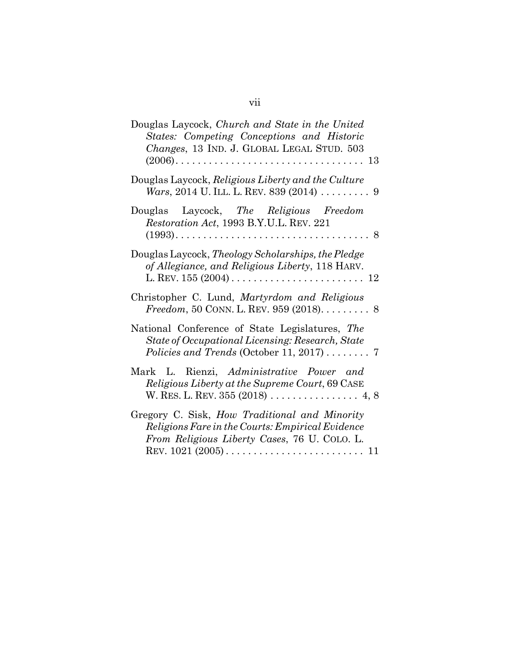| Douglas Laycock, Church and State in the United<br>States: Competing Conceptions and Historic<br>Changes, 13 IND. J. GLOBAL LEGAL STUD. 503       |
|---------------------------------------------------------------------------------------------------------------------------------------------------|
| Douglas Laycock, Religious Liberty and the Culture<br><i>Wars</i> , 2014 U. ILL. L. REV. 839 (2014) 9                                             |
| Douglas Laycock, The Religious Freedom<br>Restoration Act, 1993 B.Y.U.L. REV. 221                                                                 |
| Douglas Laycock, Theology Scholarships, the Pledge<br>of Allegiance, and Religious Liberty, 118 HARV.                                             |
| Christopher C. Lund, Martyrdom and Religious<br><i>Freedom</i> , 50 CONN. L. REV. 959 (2018). 8                                                   |
| National Conference of State Legislatures, The<br>State of Occupational Licensing: Research, State<br>Policies and Trends (October 11, 2017)  7   |
| Mark L. Rienzi, Administrative Power and<br>Religious Liberty at the Supreme Court, 69 CASE                                                       |
| Gregory C. Sisk, How Traditional and Minority<br>Religions Fare in the Courts: Empirical Evidence<br>From Religious Liberty Cases, 76 U. COLO. L. |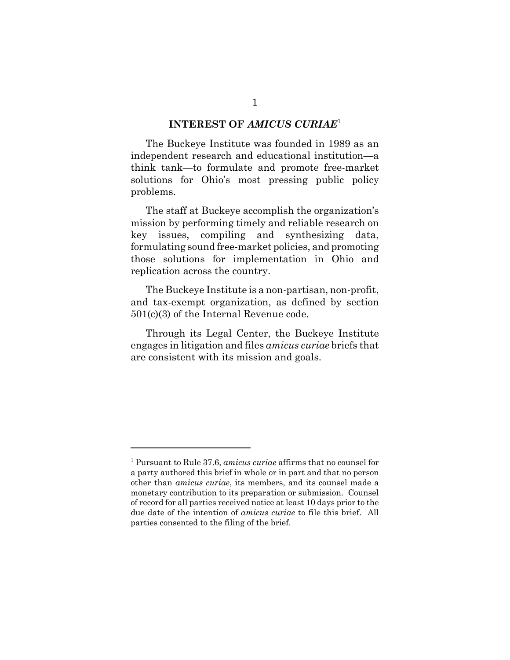#### **INTEREST OF** *AMICUS CURIAE*<sup>1</sup>

The Buckeye Institute was founded in 1989 as an independent research and educational institution—a think tank—to formulate and promote free-market solutions for Ohio's most pressing public policy problems.

The staff at Buckeye accomplish the organization's mission by performing timely and reliable research on key issues, compiling and synthesizing data, formulating sound free-market policies, and promoting those solutions for implementation in Ohio and replication across the country.

The Buckeye Institute is a non-partisan, non-profit, and tax-exempt organization, as defined by section 501(c)(3) of the Internal Revenue code.

Through its Legal Center, the Buckeye Institute engages in litigation and files *amicus curiae* briefs that are consistent with its mission and goals.

<sup>1</sup> Pursuant to Rule 37.6, *amicus curiae* affirms that no counsel for a party authored this brief in whole or in part and that no person other than *amicus curiae*, its members, and its counsel made a monetary contribution to its preparation or submission. Counsel of record for all parties received notice at least 10 days prior to the due date of the intention of *amicus curiae* to file this brief. All parties consented to the filing of the brief.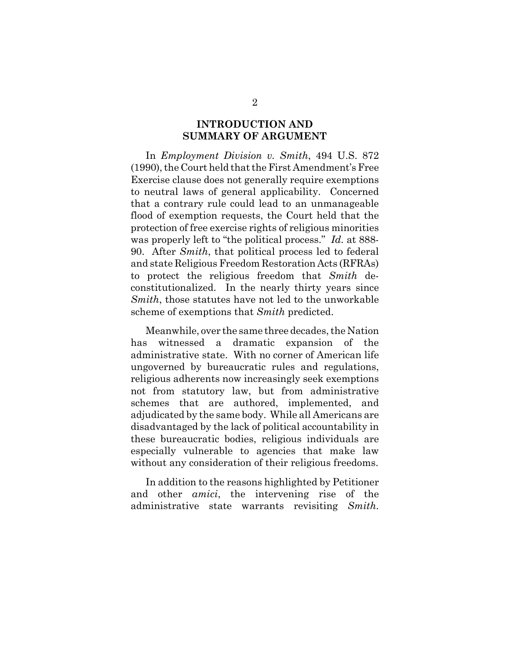### **INTRODUCTION AND SUMMARY OF ARGUMENT**

In *Employment Division v. Smith*, 494 U.S. 872 (1990), the Court held that the First Amendment's Free Exercise clause does not generally require exemptions to neutral laws of general applicability. Concerned that a contrary rule could lead to an unmanageable flood of exemption requests, the Court held that the protection of free exercise rights of religious minorities was properly left to "the political process." *Id.* at 888- 90. After *Smith*, that political process led to federal and state Religious Freedom Restoration Acts (RFRAs) to protect the religious freedom that *Smith* deconstitutionalized. In the nearly thirty years since *Smith*, those statutes have not led to the unworkable scheme of exemptions that *Smith* predicted.

Meanwhile, over the same three decades, the Nation has witnessed a dramatic expansion of the administrative state. With no corner of American life ungoverned by bureaucratic rules and regulations, religious adherents now increasingly seek exemptions not from statutory law, but from administrative schemes that are authored, implemented, and adjudicated by the same body. While all Americans are disadvantaged by the lack of political accountability in these bureaucratic bodies, religious individuals are especially vulnerable to agencies that make law without any consideration of their religious freedoms.

In addition to the reasons highlighted by Petitioner and other *amici*, the intervening rise of the administrative state warrants revisiting *Smith*.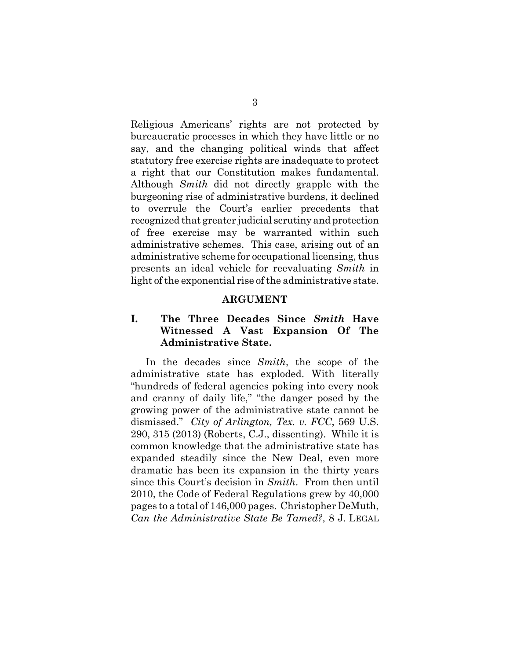Religious Americans' rights are not protected by bureaucratic processes in which they have little or no say, and the changing political winds that affect statutory free exercise rights are inadequate to protect a right that our Constitution makes fundamental. Although *Smith* did not directly grapple with the burgeoning rise of administrative burdens, it declined to overrule the Court's earlier precedents that recognized that greater judicial scrutiny and protection of free exercise may be warranted within such administrative schemes. This case, arising out of an administrative scheme for occupational licensing, thus presents an ideal vehicle for reevaluating *Smith* in light of the exponential rise of the administrative state.

#### **ARGUMENT**

### **I. The Three Decades Since** *Smith* **Have Witnessed A Vast Expansion Of The Administrative State.**

In the decades since *Smith*, the scope of the administrative state has exploded. With literally "hundreds of federal agencies poking into every nook and cranny of daily life," "the danger posed by the growing power of the administrative state cannot be dismissed." *City of Arlington, Tex. v. FCC*, 569 U.S. 290, 315 (2013) (Roberts, C.J., dissenting). While it is common knowledge that the administrative state has expanded steadily since the New Deal, even more dramatic has been its expansion in the thirty years since this Court's decision in *Smith*. From then until 2010, the Code of Federal Regulations grew by 40,000 pages to a total of 146,000 pages. Christopher DeMuth, *Can the Administrative State Be Tamed?*, 8 J. LEGAL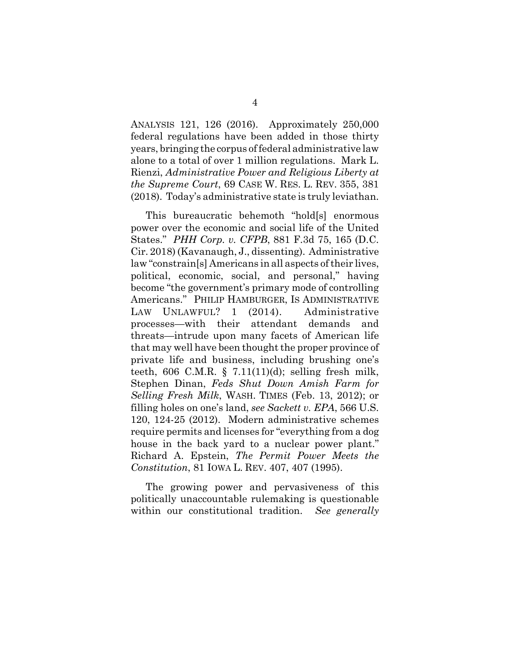ANALYSIS 121, 126 (2016). Approximately 250,000 federal regulations have been added in those thirty years, bringing the corpus of federal administrative law alone to a total of over 1 million regulations. Mark L. Rienzi, *Administrative Power and Religious Liberty at the Supreme Court*, 69 CASE W. RES. L. REV. 355, 381 (2018). Today's administrative state is truly leviathan.

This bureaucratic behemoth "hold[s] enormous power over the economic and social life of the United States." *PHH Corp. v. CFPB*, 881 F.3d 75, 165 (D.C. Cir. 2018) (Kavanaugh, J., dissenting). Administrative law "constrain[s] Americans in all aspects of their lives, political, economic, social, and personal," having become "the government's primary mode of controlling Americans." PHILIP HAMBURGER, IS ADMINISTRATIVE LAW UNLAWFUL? 1 (2014). Administrative processes—with their attendant demands and threats—intrude upon many facets of American life that may well have been thought the proper province of private life and business, including brushing one's teeth, 606 C.M.R.  $\S$  7.11(11)(d); selling fresh milk, Stephen Dinan, *Feds Shut Down Amish Farm for Selling Fresh Milk*, WASH. TIMES (Feb. 13, 2012); or filling holes on one's land, *see Sackett v. EPA*, 566 U.S. 120, 124-25 (2012). Modern administrative schemes require permits and licenses for "everything from a dog house in the back yard to a nuclear power plant." Richard A. Epstein, *The Permit Power Meets the Constitution*, 81 IOWA L. REV. 407, 407 (1995).

The growing power and pervasiveness of this politically unaccountable rulemaking is questionable within our constitutional tradition. *See generally*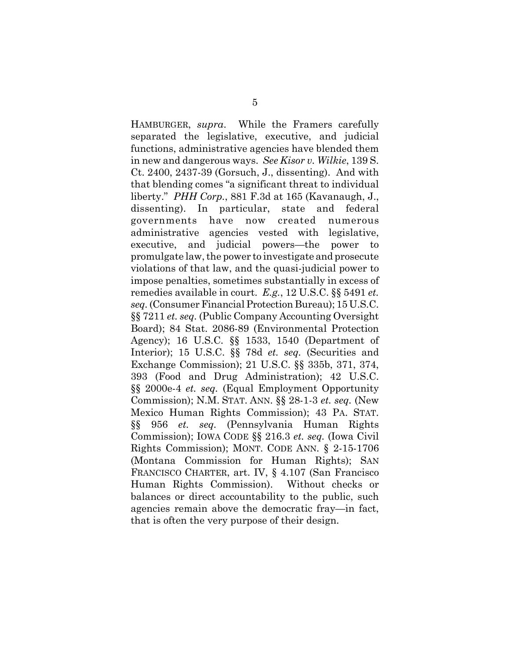HAMBURGER, *supra*.While the Framers carefully separated the legislative, executive, and judicial functions, administrative agencies have blended them in new and dangerous ways. *See Kisor v. Wilkie*, 139 S. Ct. 2400, 2437-39 (Gorsuch, J., dissenting). And with that blending comes "a significant threat to individual liberty." *PHH Corp.*, 881 F.3d at 165 (Kavanaugh, J., dissenting). In particular, state and federal governments have now created numerous administrative agencies vested with legislative, executive, and judicial powers—the power to promulgate law, the power to investigate and prosecute violations of that law, and the quasi-judicial power to impose penalties, sometimes substantially in excess of remedies available in court. *E.g.*, 12 U.S.C. §§ 5491 *et. seq.* (Consumer Financial Protection Bureau); 15 U.S.C. §§ 7211 *et. seq.* (Public Company Accounting Oversight Board); 84 Stat. 2086-89 (Environmental Protection Agency); 16 U.S.C. §§ 1533, 1540 (Department of Interior); 15 U.S.C. §§ 78d *et. seq.* (Securities and Exchange Commission); 21 U.S.C. §§ 335b, 371, 374, 393 (Food and Drug Administration); 42 U.S.C. §§ 2000e-4 *et. seq.* (Equal Employment Opportunity Commission); N.M. STAT. ANN. §§ 28-1-3 *et. seq.* (New Mexico Human Rights Commission); 43 PA. STAT. §§ 956 *et. seq.* (Pennsylvania Human Rights Commission); IOWA CODE §§ 216.3 *et. seq.* (Iowa Civil Rights Commission); MONT. CODE ANN. § 2-15-1706 (Montana Commission for Human Rights); SAN FRANCISCO CHARTER, art. IV, § 4.107 (San Francisco Human Rights Commission). Without checks or balances or direct accountability to the public, such agencies remain above the democratic fray—in fact, that is often the very purpose of their design.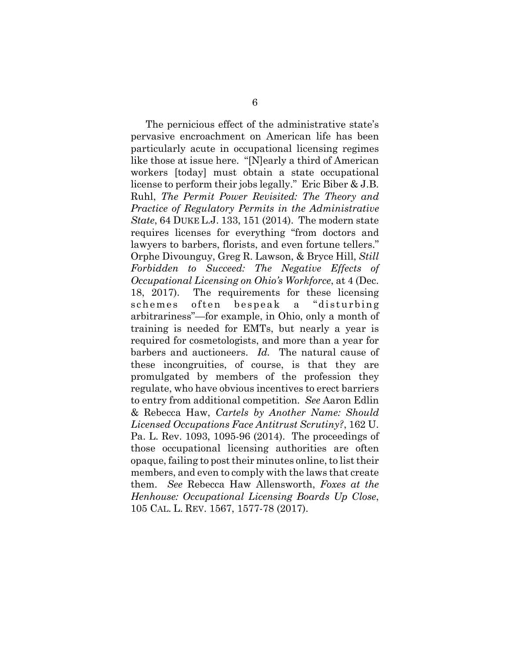The pernicious effect of the administrative state's pervasive encroachment on American life has been particularly acute in occupational licensing regimes like those at issue here. "[N]early a third of American workers [today] must obtain a state occupational license to perform their jobs legally." Eric Biber & J.B. Ruhl, *The Permit Power Revisited: The Theory and Practice of Regulatory Permits in the Administrative State*, 64 DUKE L.J. 133, 151 (2014). The modern state requires licenses for everything "from doctors and lawyers to barbers, florists, and even fortune tellers." Orphe Divounguy, Greg R. Lawson, & Bryce Hill, *Still Forbidden to Succeed: The Negative Effects of Occupational Licensing on Ohio's Workforce*, at 4 (Dec. 18, 2017). The requirements for these licensing schemes often bespeak a "disturbing arbitrariness"—for example, in Ohio, only a month of training is needed for EMTs, but nearly a year is required for cosmetologists, and more than a year for barbers and auctioneers. *Id.* The natural cause of these incongruities, of course, is that they are promulgated by members of the profession they regulate, who have obvious incentives to erect barriers to entry from additional competition. *See* Aaron Edlin & Rebecca Haw, *Cartels by Another Name: Should Licensed Occupations Face Antitrust Scrutiny?*, 162 U. Pa. L. Rev. 1093, 1095-96 (2014). The proceedings of those occupational licensing authorities are often opaque, failing to post their minutes online, to list their members, and even to comply with the laws that create them. *See* Rebecca Haw Allensworth, *Foxes at the Henhouse: Occupational Licensing Boards Up Close*, 105 CAL. L. REV. 1567, 1577-78 (2017).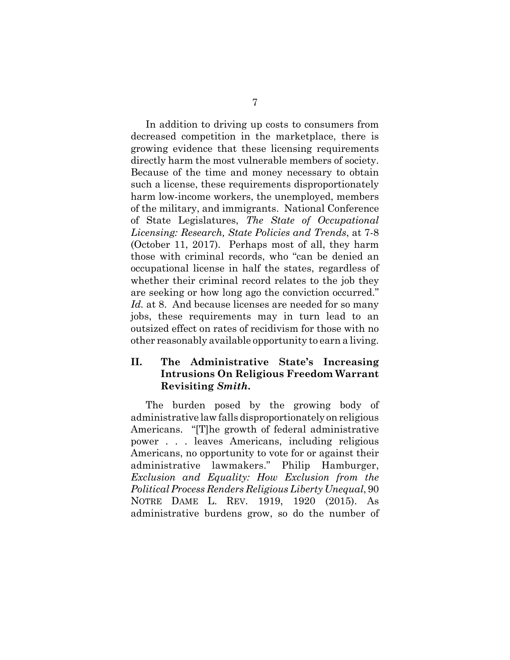In addition to driving up costs to consumers from decreased competition in the marketplace, there is growing evidence that these licensing requirements directly harm the most vulnerable members of society. Because of the time and money necessary to obtain such a license, these requirements disproportionately harm low-income workers, the unemployed, members of the military, and immigrants. National Conference of State Legislatures, *The State of Occupational Licensing: Research, State Policies and Trends*, at 7-8 (October 11, 2017). Perhaps most of all, they harm those with criminal records, who "can be denied an occupational license in half the states, regardless of whether their criminal record relates to the job they are seeking or how long ago the conviction occurred." Id. at 8. And because licenses are needed for so many jobs, these requirements may in turn lead to an outsized effect on rates of recidivism for those with no other reasonably available opportunity to earn a living.

### **II. The Administrative State's Increasing Intrusions On Religious Freedom Warrant Revisiting** *Smith***.**

The burden posed by the growing body of administrative law falls disproportionately on religious Americans. "[T]he growth of federal administrative power . . . leaves Americans, including religious Americans, no opportunity to vote for or against their administrative lawmakers." Philip Hamburger, *Exclusion and Equality: How Exclusion from the Political Process Renders Religious Liberty Unequal*, 90 NOTRE DAME L. REV. 1919, 1920 (2015). As administrative burdens grow, so do the number of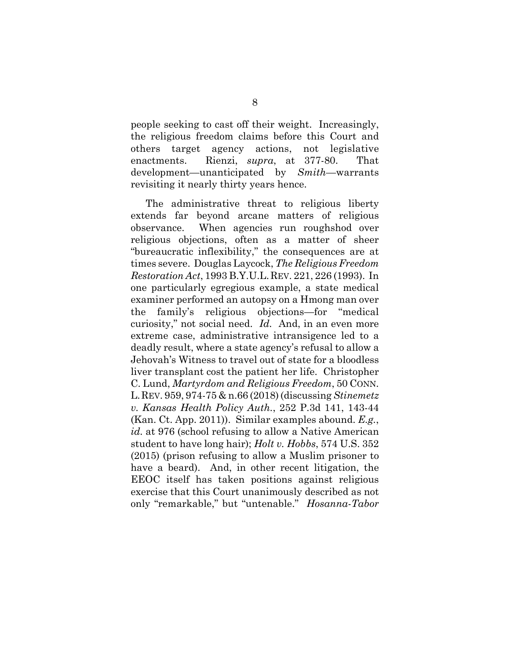people seeking to cast off their weight. Increasingly, the religious freedom claims before this Court and others target agency actions, not legislative enactments. Rienzi, *supra*, at 377-80. That development—unanticipated by *Smith*—warrants revisiting it nearly thirty years hence.

The administrative threat to religious liberty extends far beyond arcane matters of religious observance. When agencies run roughshod over religious objections, often as a matter of sheer "bureaucratic inflexibility," the consequences are at times severe. Douglas Laycock, *The Religious Freedom Restoration Act*, 1993 B.Y.U.L.REV. 221, 226 (1993). In one particularly egregious example, a state medical examiner performed an autopsy on a Hmong man over the family's religious objections—for "medical curiosity," not social need. *Id.* And, in an even more extreme case, administrative intransigence led to a deadly result, where a state agency's refusal to allow a Jehovah's Witness to travel out of state for a bloodless liver transplant cost the patient her life. Christopher C. Lund, *Martyrdom and Religious Freedom*, 50 CONN. L.REV. 959, 974-75 & n.66 (2018) (discussing *Stinemetz v. Kansas Health Policy Auth.*, 252 P.3d 141, 143-44 (Kan. Ct. App. 2011)). Similar examples abound. *E.g.*, *id.* at 976 (school refusing to allow a Native American student to have long hair); *Holt v. Hobbs*, 574 U.S. 352 (2015) (prison refusing to allow a Muslim prisoner to have a beard). And, in other recent litigation, the EEOC itself has taken positions against religious exercise that this Court unanimously described as not only "remarkable," but "untenable." *Hosanna-Tabor*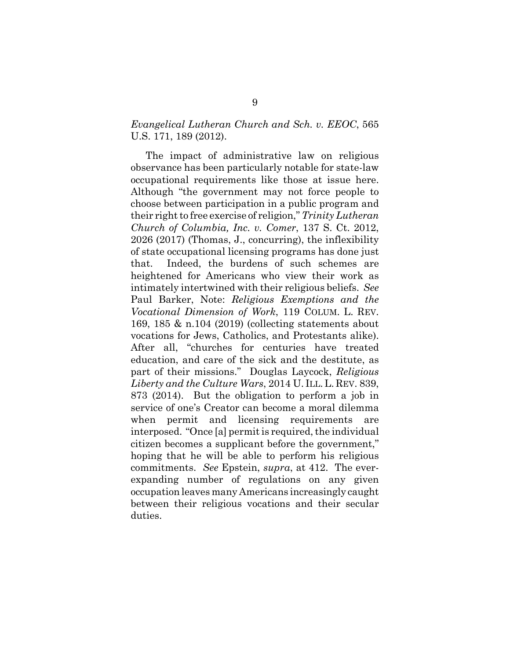### *Evangelical Lutheran Church and Sch. v. EEOC*, 565 U.S. 171, 189 (2012).

The impact of administrative law on religious observance has been particularly notable for state-law occupational requirements like those at issue here. Although "the government may not force people to choose between participation in a public program and their right to free exercise of religion," *Trinity Lutheran Church of Columbia, Inc. v. Comer*, 137 S. Ct. 2012, 2026 (2017) (Thomas, J., concurring), the inflexibility of state occupational licensing programs has done just that. Indeed, the burdens of such schemes are heightened for Americans who view their work as intimately intertwined with their religious beliefs. *See* Paul Barker, Note: *Religious Exemptions and the Vocational Dimension of Work*, 119 COLUM. L. REV. 169, 185 & n.104 (2019) (collecting statements about vocations for Jews, Catholics, and Protestants alike). After all, "churches for centuries have treated education, and care of the sick and the destitute, as part of their missions." Douglas Laycock, *Religious* Liberty and the Culture Wars, 2014 U. ILL. L. REV. 839, 873 (2014). But the obligation to perform a job in service of one's Creator can become a moral dilemma when permit and licensing requirements are interposed. "Once [a] permit is required, the individual citizen becomes a supplicant before the government," hoping that he will be able to perform his religious commitments. *See* Epstein, *supra*, at 412. The everexpanding number of regulations on any given occupation leaves many Americans increasingly caught between their religious vocations and their secular duties.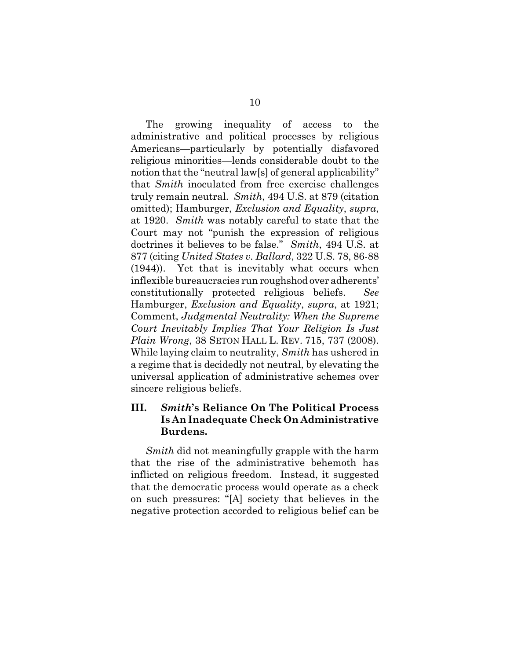The growing inequality of access to the administrative and political processes by religious Americans—particularly by potentially disfavored religious minorities—lends considerable doubt to the notion that the "neutral law[s] of general applicability" that *Smith* inoculated from free exercise challenges truly remain neutral. *Smith*, 494 U.S. at 879 (citation omitted); Hamburger, *Exclusion and Equality*, *supra*, at 1920. *Smith* was notably careful to state that the Court may not "punish the expression of religious doctrines it believes to be false." *Smith*, 494 U.S. at 877 (citing *United States v. Ballard*, 322 U.S. 78, 86-88 (1944)). Yet that is inevitably what occurs when inflexible bureaucracies run roughshod over adherents' constitutionally protected religious beliefs. Hamburger, *Exclusion and Equality*, *supra*, at 1921; Comment, *Judgmental Neutrality: When the Supreme Court Inevitably Implies That Your Religion Is Just Plain Wrong*, 38 SETON HALL L. REV. 715, 737 (2008). While laying claim to neutrality, *Smith* has ushered in a regime that is decidedly not neutral, by elevating the universal application of administrative schemes over sincere religious beliefs.

### **III.** *Smith***'s Reliance On The Political Process Is An Inadequate Check On Administrative Burdens.**

*Smith* did not meaningfully grapple with the harm that the rise of the administrative behemoth has inflicted on religious freedom. Instead, it suggested that the democratic process would operate as a check on such pressures: "[A] society that believes in the negative protection accorded to religious belief can be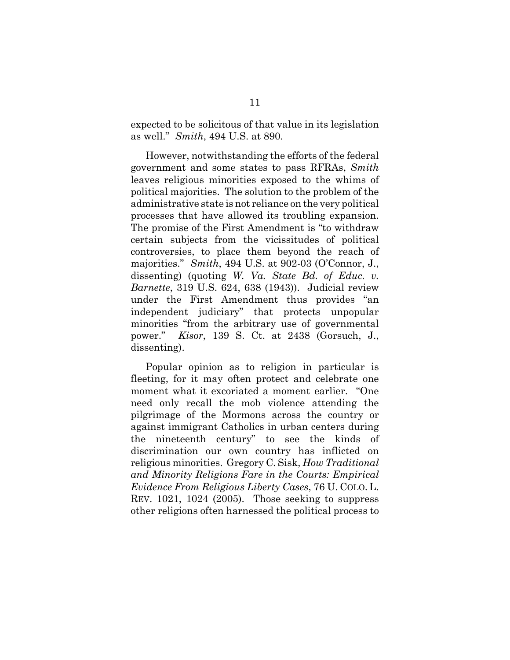expected to be solicitous of that value in its legislation as well." *Smith*, 494 U.S. at 890.

However, notwithstanding the efforts of the federal government and some states to pass RFRAs, *Smith* leaves religious minorities exposed to the whims of political majorities. The solution to the problem of the administrative state is not reliance on the very political processes that have allowed its troubling expansion. The promise of the First Amendment is "to withdraw certain subjects from the vicissitudes of political controversies, to place them beyond the reach of majorities." *Smith*, 494 U.S. at 902-03 (O'Connor, J., dissenting) (quoting *W. Va. State Bd. of Educ. v. Barnette*, 319 U.S. 624, 638 (1943)). Judicial review under the First Amendment thus provides "an independent judiciary" that protects unpopular minorities "from the arbitrary use of governmental power." *Kisor*, 139 S. Ct. at 2438 (Gorsuch, J., dissenting).

Popular opinion as to religion in particular is fleeting, for it may often protect and celebrate one moment what it excoriated a moment earlier. "One need only recall the mob violence attending the pilgrimage of the Mormons across the country or against immigrant Catholics in urban centers during the nineteenth century" to see the kinds of discrimination our own country has inflicted on religious minorities. Gregory C. Sisk, *How Traditional and Minority Religions Fare in the Courts: Empirical Evidence From Religious Liberty Cases*, 76 U. COLO. L. REV. 1021, 1024 (2005). Those seeking to suppress other religions often harnessed the political process to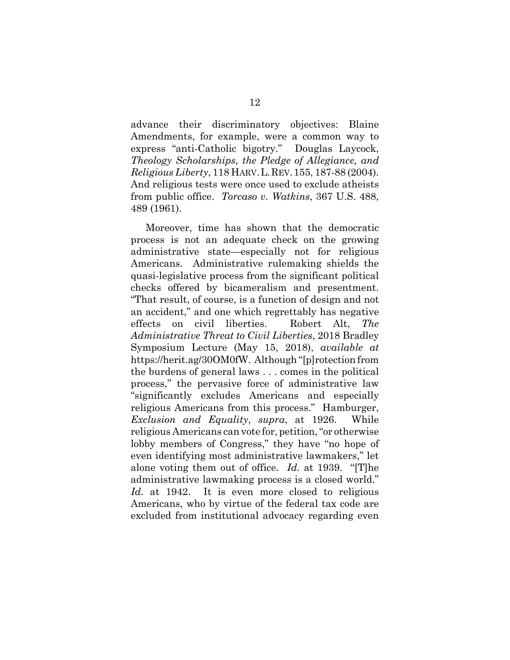advance their discriminatory objectives: Blaine Amendments, for example, were a common way to express "anti-Catholic bigotry." Douglas Laycock, *Theology Scholarships, the Pledge of Allegiance, and Religious Liberty*, 118 HARV.L.REV.155, 187-88 (2004). And religious tests were once used to exclude atheists from public office. *Torcaso v. Watkins*, 367 U.S. 488, 489 (1961).

Moreover, time has shown that the democratic process is not an adequate check on the growing administrative state—especially not for religious Americans. Administrative rulemaking shields the quasi-legislative process from the significant political checks offered by bicameralism and presentment. "That result, of course, is a function of design and not an accident," and one which regrettably has negative effects on civil liberties. Robert Alt, *The Administrative Threat to Civil Liberties*, 2018 Bradley Symposium Lecture (May 15, 2018), *available at* https://herit.ag/30OM0fW. Although "[p]rotection from the burdens of general laws . . . comes in the political process," the pervasive force of administrative law "significantly excludes Americans and especially religious Americans from this process." Hamburger, *Exclusion and Equality*, *supra*, at 1926. While religious Americans can vote for, petition, "or otherwise lobby members of Congress," they have "no hope of even identifying most administrative lawmakers," let alone voting them out of office. *Id.* at 1939. "[T]he administrative lawmaking process is a closed world." *Id.* at 1942. It is even more closed to religious Americans, who by virtue of the federal tax code are excluded from institutional advocacy regarding even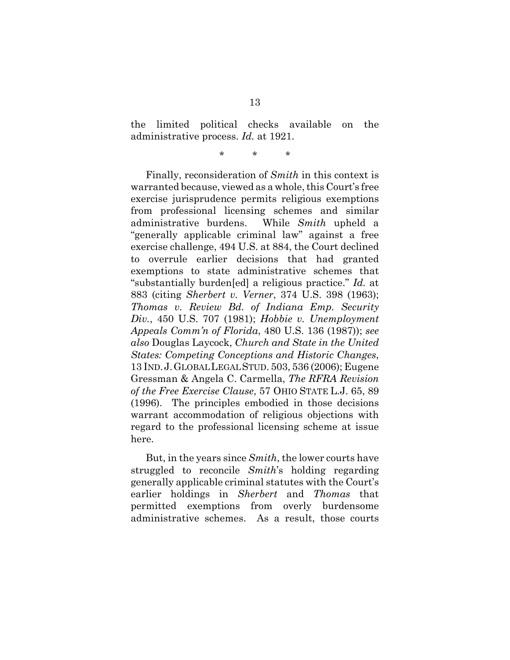the limited political checks available on the administrative process. *Id.* at 1921.

\* \* \*

Finally, reconsideration of *Smith* in this context is warranted because, viewed as a whole, this Court's free exercise jurisprudence permits religious exemptions from professional licensing schemes and similar administrative burdens. While *Smith* upheld a "generally applicable criminal law" against a free exercise challenge, 494 U.S. at 884, the Court declined to overrule earlier decisions that had granted exemptions to state administrative schemes that "substantially burden[ed] a religious practice." *Id.* at 883 (citing *Sherbert v. Verner*, 374 U.S. 398 (1963); *Thomas v. Review Bd. of Indiana Emp. Security Div.*, 450 U.S. 707 (1981); *Hobbie v. Unemployment Appeals Comm'n of Florida*, 480 U.S. 136 (1987)); *see also* Douglas Laycock, *Church and State in the United States: Competing Conceptions and Historic Changes*, 13 IND.J.GLOBAL LEGAL STUD. 503, 536 (2006); Eugene Gressman & Angela C. Carmella, *The RFRA Revision of the Free Exercise Clause*, 57 OHIO STATE L.J. 65, 89 (1996). The principles embodied in those decisions warrant accommodation of religious objections with regard to the professional licensing scheme at issue here.

But, in the years since *Smith*, the lower courts have struggled to reconcile *Smith*'s holding regarding generally applicable criminal statutes with the Court's earlier holdings in *Sherbert* and *Thomas* that permitted exemptions from overly burdensome administrative schemes. As a result, those courts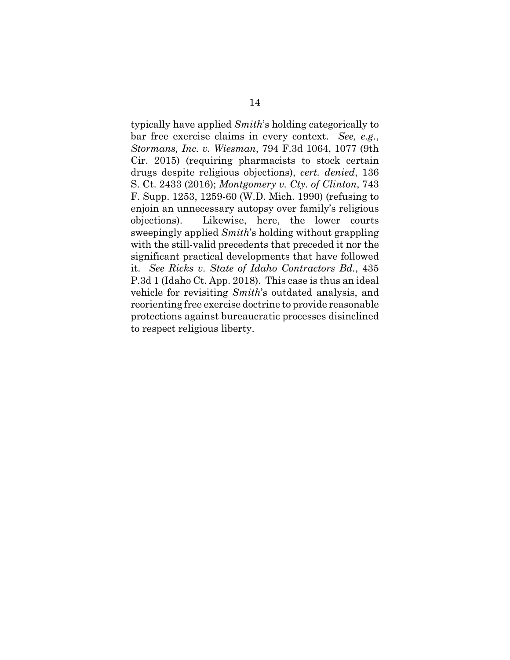typically have applied *Smith*'s holding categorically to bar free exercise claims in every context. *See, e.g.*, *Stormans, Inc. v. Wiesman*, 794 F.3d 1064, 1077 (9th Cir. 2015) (requiring pharmacists to stock certain drugs despite religious objections), *cert. denied*, 136 S. Ct. 2433 (2016); *Montgomery v. Cty. of Clinton*, 743 F. Supp. 1253, 1259-60 (W.D. Mich. 1990) (refusing to enjoin an unnecessary autopsy over family's religious objections). Likewise, here, the lower courts sweepingly applied *Smith*'s holding without grappling with the still-valid precedents that preceded it nor the significant practical developments that have followed it. *See Ricks v. State of Idaho Contractors Bd.*, 435 P.3d 1 (Idaho Ct. App. 2018). This case is thus an ideal vehicle for revisiting *Smith*'s outdated analysis, and reorienting free exercise doctrine to provide reasonable protections against bureaucratic processes disinclined to respect religious liberty.